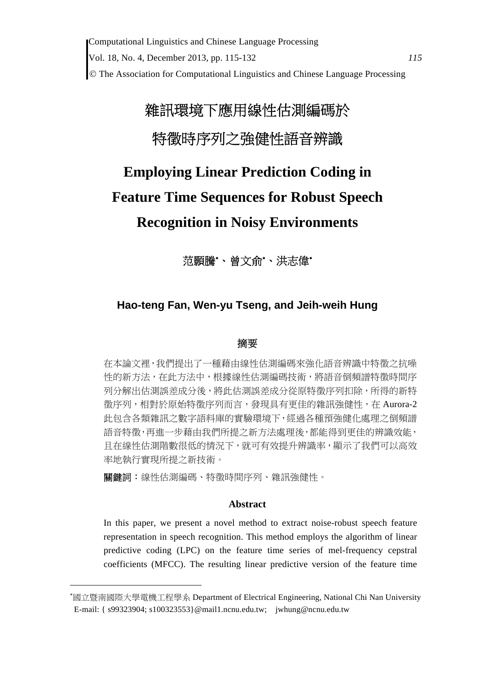Computational Linguistics and Chinese Language Processing Vol. 18, No. 4, December 2013, pp. 115-132 *115* The Association for Computational Linguistics and Chinese Language Processing

# 雜訊環境下應用線性估測編碼於 特徵時序列之強健性語音辨識

## **Employing Linear Prediction Coding in Feature Time Sequences for Robust Speech Recognition in Noisy Environments**

范顥騰\*、曾文俞\*、洪志偉\*

## **Hao-teng Fan, Wen-yu Tseng, and Jeih-weih Hung**

#### 摘要

在本論文裡,我們提出了一種藉由線性估測編碼來強化語音辨識中特徵之抗噪 性的新方法,在此方法中,根據線性估測編碼技術,將語音倒頻譜特徵時間序 列分解出估測誤差成分後,將此估測誤差成分從原特徵序列扣除,所得的新特 徵序列,相對於原始特徵序列而言,發現具有更佳的雜訊強健性,在 Aurora-2 此包含各類雜訊之數字語料庫的實驗環境下,經過各種預強健化處理之倒頻譜 語音特徵,再進一步藉由我們所提之新方法處理後,都能得到更佳的辨識效能, 且在線性估測階數很低的情況下,就可有效提升辨識率,顯示了我們可以高效 率地執行實現所提之新技術。

關鍵詞:線性估測編碼、特徵時間序列、雜訊強健性。

#### **Abstract**

In this paper, we present a novel method to extract noise-robust speech feature representation in speech recognition. This method employs the algorithm of linear predictive coding (LPC) on the feature time series of mel-frequency cepstral coefficients (MFCC). The resulting linear predictive version of the feature time

國立暨南國際大學電機工程學系 Department of Electrical Engineering, National Chi Nan University E-mail: { s99323904; s100323553}@mail1.ncnu.edu.tw; jwhung@ncnu.edu.tw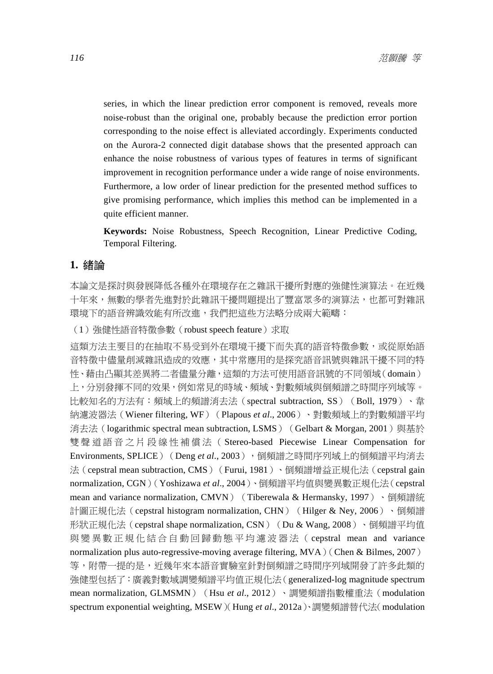series, in which the linear prediction error component is removed, reveals more noise-robust than the original one, probably because the prediction error portion corresponding to the noise effect is alleviated accordingly. Experiments conducted on the Aurora-2 connected digit database shows that the presented approach can enhance the noise robustness of various types of features in terms of significant improvement in recognition performance under a wide range of noise environments. Furthermore, a low order of linear prediction for the presented method suffices to give promising performance, which implies this method can be implemented in a quite efficient manner.

**Keywords:** Noise Robustness, Speech Recognition, Linear Predictive Coding, Temporal Filtering.

#### **1.** 緒論

本論文是探討與發展降低各種外在環境存在之雜訊干擾所對應的強健性演算法。在近幾 十年來,無數的學者先進對於此雜訊干擾問題提出了豐富眾多的演算法,也都可對雜訊 環境下的語音辨識效能有所改進,我們把這些方法略分成兩大範疇:

(1)強健性語音特徵參數(robust speech feature)求取

這類方法主要目的在抽取不易受到外在環境干擾下而失真的語音特徵參數,或從原始語 音特徵中儘量削減雜訊造成的效應,其中常應用的是探究語音訊號與雜訊干擾不同的特 性、藉由凸顯其差異將二者儘量分離,這類的方法可使用語音訊號的不同領域(domain) 上,分別發揮不同的效果,例如常見的時域、頻域、對數頻域與倒頻譜之時間序列域等。 比較知名的方法有:頻域上的頻譜消去法(spectral subtraction, SS)(Boll, 1979)、韋 納濾波器法(Wiener filtering, WF)(Plapous *et al*., 2006)、對數頻域上的對數頻譜平均 消去法 (logarithmic spectral mean subtraction, LSMS) (Gelbart & Morgan, 2001)與基於 雙聲道語音之片段線性補償法( Stereo-based Piecewise Linear Compensation for Environments, SPLICE) (Deng et al., 2003), 倒頻譜之時間序列域上的倒頻譜平均消去 法(cepstral mean subtraction, CMS) (Furui, 1981)、倒頻譜增益正規化法(cepstral gain normalization, CGN)(Yoshizawa *et al*., 2004)、倒頻譜平均值與變異數正規化法(cepstral mean and variance normalization, CMVN) (Tiberewala & Hermansky, 1997)、倒頻譜統 計圖正規化法 (cepstral histogram normalization, CHN) (Hilger & Ney, 2006)、倒頻譜 形狀正規化法 (cepstral shape normalization, CSN) (Du & Wang, 2008)、倒頻譜平均值 與變異數正規化結合自動回歸動態平均濾波器法( cepstral mean and variance normalization plus auto-regressive-moving average filtering,  $MVA$ ) (Chen & Bilmes, 2007) 等,附帶一提的是,近幾年來本語音實驗室針對倒頻譜之時間序列域開發了許多此類的 強健型包括了:廣義對數域調變頻譜平均值正規化法(generalized-log magnitude spectrum mean normalization, GLMSMN) (Hsu *et al.*, 2012)、調變頻譜指數權重法 (modulation spectrum exponential weighting, MSEW)(Hung *et al*., 2012a)、調變頻譜替代法(modulation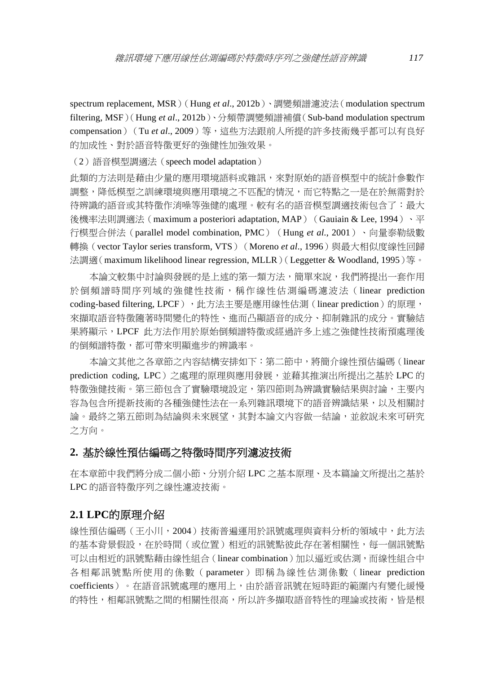spectrum replacement, MSR)(Hung *et al*., 2012b)、調變頻譜濾波法(modulation spectrum filtering, MSF)(Hung *et al*., 2012b)、分頻帶調變頻譜補償(Sub-band modulation spectrum compensation) (Tu et al., 2009) 等, 這些方法跟前人所提的許多技術幾乎都可以有良好 的加成性、對於語音特徵更好的強健性加強效果。

(2)語音模型調適法(speech model adaptation)

此類的方法則是藉由少量的應用環境語料或雜訊,來對原始的語音模型中的統計參數作 調整,降低模型之訓練環境與應用環境之不匹配的情況,而它特點之一是在於無需對於 待辨識的語音或其特徵作消噪等強健的處理。較有名的語音模型調適技術包含了:最大 後機率法則調適法 (maximum a posteriori adaptation, MAP) (Gauiain & Lee, 1994)、平 行模型合併法(parallel model combination, PMC)(Hung *et al*., 2001)、向量泰勒級數 轉換 (vector Taylor series transform, VTS) (Moreno *et al.*, 1996) 與最大相似度線性回歸 法調適(maximum likelihood linear regression, MLLR)(Leggetter & Woodland, 1995)等。

本論文較集中討論與發展的是上述的第一類方法,簡單來說,我們將提出一套作用 於倒頻譜時間序列域的強健性技術,稱作線性估測編碼濾波法(linear prediction coding-based filtering, LPCF), 此方法主要是應用線性估測(linear prediction)的原理, 來擷取語音特徵隨著時間變化的特性、進而凸顯語音的成分、抑制雜訊的成分。實驗結 果將顯示,LPCF 此方法作用於原始倒頻譜特徵或經過許多上述之強健性技術預處理後 的倒頻譜特徵,都可帶來明顯進步的辨識率。

本論文其他之各章節之內容結構安排如下:第二節中,將簡介線性預估編碼(linear prediction coding, LPC)之處理的原理與應用發展,並藉其推演出所提出之基於 LPC 的 特徵強健技術。第三節包含了實驗環境設定,第四節則為辨識實驗結果與討論,主要內 容為包含所提新技術的各種強健性法在一系列雜訊環境下的語音辨識結果,以及相關討 論。最終之第五節則為結論與未來展望,其對本論文內容做一結論,並敘說未來可研究 之方向。

#### **2.** 基於線性預估編碼之特徵時間序列濾波技術

在本章節中我們將分成二個小節、分別介紹 LPC 之基本原理、及本篇論文所提出之基於 LPC 的語音特徵序列之線性濾波技術。

## **2.1 LPC**的原理介紹

線性預估編碼(王小川,2004)技術普遍運用於訊號處理與資料分析的領域中,此方法 的基本背景假設,在於時間(或位置)相近的訊號點彼此存在著相關性,每一個訊號點 可以由相近的訊號點藉由線性組合(linear combination)加以逼近或估測,而線性組合中 各相鄰訊號點所使用的係數(parameter)即稱為線性估測係數(linear prediction coefficients)。在語音訊號處理的應用上,由於語音訊號在短時距的範圍內有變化緩慢 的特性,相鄰訊號點之間的相關性很高,所以許多擷取語音特性的理論或技術,皆是根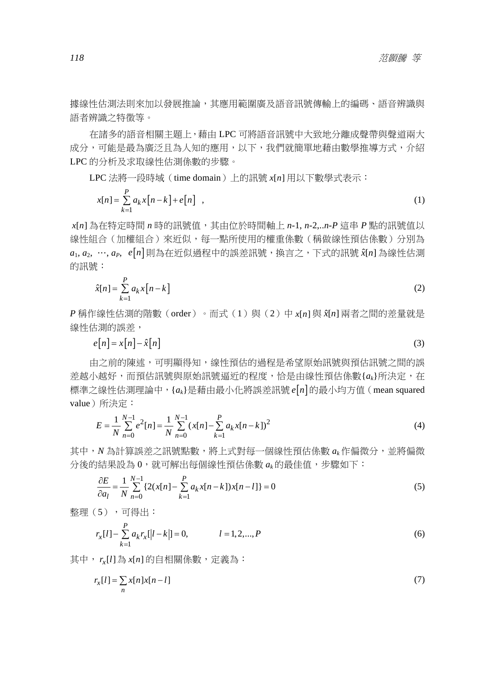據線性估測法則來加以發展推論,其應用範圍廣及語音訊號傳輸上的編碼、語音辨識與 語者辨識之特徵等。

在諸多的語音相關主題上,藉由 LPC 可將語音訊號中大致地分離成聲帶與聲道兩大 成分,可能是最為廣泛且為人知的應用,以下,我們就簡單地藉由數學推導方式,介紹 LPC 的分析及求取線性估測係數的步驟。

LPC 法將一段時域(time domain)上的訊號 x[n] 用以下數學式表示:

$$
x[n] = \sum_{k=1}^{P} a_k x[n-k] + e[n], \qquad (1)
$$

*x*[ ] *n* 為在特定時間 *n* 時的訊號值,其由位於時間軸上 *n*-1, *n*-2,..*n*-*P* 這串 *P* 點的訊號值以 線性組合(加權組合)來近似,每一點所使用的權重係數(稱做線性預估係數)分別為  $a_1, a_2, \dots, a_p, e[n]$ 則為在近似過程中的誤差訊號,換言之,下式的訊號  $\hat{x}[n]$ 為線性估測 的訊號:

$$
\hat{x}[n] = \sum_{k=1}^{P} a_k x[n-k]
$$
\n(2)

*P* 稱作線性估測的階數(order)。而式(1)與(2)中 *x*[ ] *n* 與 *x*ˆ[ ] *n* 兩者之間的差量就是 線性估測的誤差,

$$
e[n] = x[n] - \hat{x}[n] \tag{3}
$$

由之前的陳述,可明顯得知,線性預估的過程是希望原始訊號與預估訊號之間的誤 差越小越好,而預估訊號與原始訊號逼近的程度,恰是由線性預估係數{*a<sub>k</sub>*}所決定,在 標準之線性估測理論中,{*ak*}是藉由最小化將誤差訊號 *e n* 的最小均方值(mean squared value)所決定:

$$
E = \frac{1}{N} \sum_{n=0}^{N-1} e^{2}[n] = \frac{1}{N} \sum_{n=0}^{N-1} (x[n] - \sum_{k=1}^{P} a_{k}x[n-k])^{2}
$$
(4)

其中,*N* 為計算誤差之訊號點數,將上式對每一個線性預估係數 *ak* 作偏微分,並將偏微 分後的結果設為 0,就可解出每個線性預估係數 *ak* 的最佳值,步驟如下:

$$
\frac{\partial E}{\partial a_l} = \frac{1}{N} \sum_{n=0}^{N-1} \{ 2(x[n] - \sum_{k=1}^{P} a_k x[n-k]) x[n-l] \} = 0
$$
\n(5)

整理(5),可得出:

$$
r_{x}[l] - \sum_{k=1}^{P} a_{k} r_{x}[|l-k|] = 0, \qquad l = 1, 2, ..., P
$$
\n(6)

其中,  $r_r[l]$ 為  $x[n]$ 的自相關係數, 定義為:

$$
r_x[l] = \sum_n x[n]x[n-l]
$$
\n(7)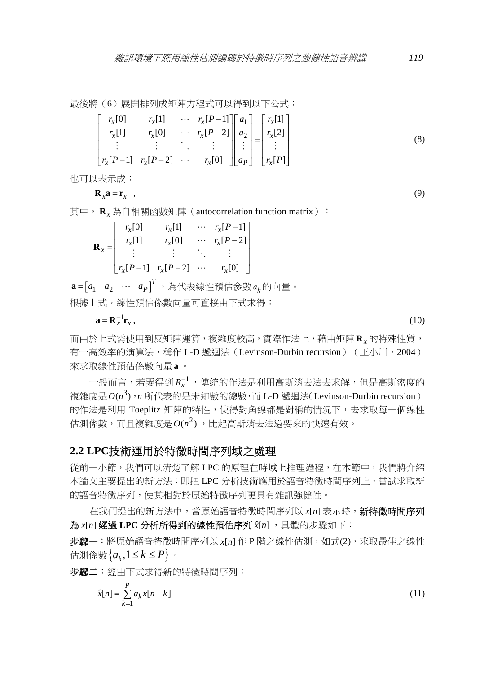最後將(6)展開排列成矩陣方程式可以得到以下公式:

$$
\begin{bmatrix}\nr_x[0] & r_x[1] & \cdots & r_x[P-1] \\
r_x[1] & r_x[0] & \cdots & r_x[P-2] \\
\vdots & \vdots & \ddots & \vdots \\
r_x[P-1] & r_x[P-2] & \cdots & r_x[0]\n\end{bmatrix}\n\begin{bmatrix}\na_1 \\
a_2 \\
\vdots \\
a_P\n\end{bmatrix}\n=\n\begin{bmatrix}\nr_x[1] \\
r_x[2] \\
\vdots \\
r_x[P]\n\end{bmatrix}
$$
\n(8)

也可以表示成:

$$
\mathbf{R}_x \mathbf{a} = \mathbf{r}_x \quad , \tag{9}
$$

其中, R<sub>*x*</sub>為自相關函數矩陣 (autocorrelation function matrix):

|                  | $r_{\rm x}[0]$ | $r_{\rm r}[1]$                                               |          | $\cdots$ $r_x[P-1]$ |
|------------------|----------------|--------------------------------------------------------------|----------|---------------------|
|                  | $r_{\rm x}[1]$ | $r_{x}[0]$                                                   | $\cdots$ | $r_{r}[P-2]$        |
| $\mathbf{R}_x =$ |                |                                                              |          |                     |
|                  |                | $\begin{vmatrix} r_x[P-1] & r_x[P-2] & \cdots \end{vmatrix}$ |          | $r_{\rm x}[0]$      |

 $\mathbf{a}$  =[ $a_1$   $a_2$  …  $a_P$ ] $^T$ ,為代表線性預估參數 $\,a_k$ 的向量。 根據上式,線性預估係數向量可直接由下式求得:

$$
\mathbf{a} = \mathbf{R}_x^{-1} \mathbf{r}_x, \qquad (10)
$$

而由於上式需使用到反矩陣運算,複雜度較高,實際作法上,藉由矩陣 **R***<sup>x</sup>* 的特殊性質, 有一高效率的演算法,稱作 L-D 遞迴法 (Levinson-Durbin recursion) (王小川, 2004) 來求取線性預估係數向量 **a** 。

一般而言,若要得到 $\textit{R}_{x}^{-1}$ ,傳統的作法是利用高斯消去法去求解,但是高斯密度的 複雜度是  $O(n^3)$ , *n* 所代表的是未知數的總數, 而 L-D 遞迴法(Levinson-Durbin recursion) 的作法是利用 Toeplitz 矩陣的特性,使得對角線都是對稱的情況下,去求取每一個線性  $\text{tth}$  .  $\text{tth}$  .  $\text{tth}$  ,  $\text{tth}$  and  $\text{tth}$  ,  $\text{tth}$  ,  $\text{tth}$  ,  $\text{tth}$  ,  $\text{tth}$  ,  $\text{tth}$  ,  $\text{tth}$  ,  $\text{tth}$  ,  $\text{tth}$  ,  $\text{tth}$  ,  $\text{tth}$  ,  $\text{tth}$  ,  $\text{tth}$  ,  $\text{tth}$  ,  $\text{tth}$  ,  $\text{tth}$ 

#### **2.2 LPC**技術運用於特徵時間序列域之處理

從前一小節,我們可以清楚了解 LPC 的原理在時域上推理過程,在本節中,我們將介紹 本論文主要提出的新方法:即把 LPC 分析技術應用於語音特徵時間序列上,嘗試求取新 的語音特徵序列,使其相對於原始特徵序列更具有雜訊強健性。

在我們提出的新方法中,當原始語音特徵時間序列以 x[n] 表示時, 新特徵時間序列 為 x[n] 經過 LPC 分析所得到的線性預估序列 x[n], 具體的步驟如下:

步驟一:將原始語音特徵時間序列以 *x*[ ] *n* 作 P 階之線性估測,如式(2),求取最佳之線性 估測係數 ${a_k, 1 \le k \le P}$  。

步驟二:經由下式求得新的特徵時間序列:

$$
\hat{x}[n] = \sum_{k=1}^{P} a_k x[n-k]
$$
\n<sup>(11)</sup>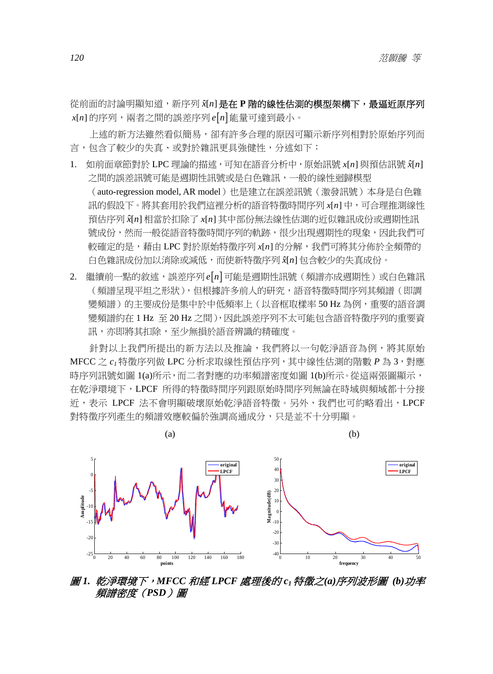從前面的討論明顯知道,新序列 *x*[n] 是在 P 階的線性估測的模型架構下,最逼近原序列 x[n] 的序列,兩者之間的誤差序列 e[n] 能量可達到最小。

上述的新方法雖然看似簡易,卻有許多合理的原因可顯示新序列相對於原始序列而 言,包含了較少的失真、或對於雜訊更具強健性,分述如下:

- 1. 如前面章節對於 LPC 理論的描述,可知在語音分析中,原始訊號 *x*[n] 與預估訊號 *x*[n] 之間的誤差訊號可能是週期性訊號或是白色雜訊,一般的線性迴歸模型 (auto-regression model, AR model) 也是建立在誤差訊號(激發訊號)本身是白色雜 訊的假設下。將其套用於我們這裡分析的語音特徵時間序列 *x*[n] 中,可合理推測線性 預估序列 *x*ˆ[ ] *n* 相當於扣除了 *x*[ ] *n* 其中部份無法線性估測的近似雜訊成份或週期性訊 號成份,然而一般從語音特徵時間序列的軌跡,很少出現週期性的現象,因此我們可 較確定的是,藉由 LPC 對於原始特徵序列 *x*[n] 的分解,我們可將其分佈於全頻帶的 白色雜訊成份加以消除或減低,而使新特徵序列 *x*ˆ[ ] *n* 包含較少的失真成份。
- 2. 繼續前一點的敘述,誤差序列 e n 可能是週期性訊號(頻譜亦成週期性)或白色雜訊 (頻譜呈現平坦之形狀),但根據許多前人的研究,語音特徵時間序列其頻譜(即調 變頻譜)的主要成份是集中於中低頻率上(以音框取樣率 50 Hz 為例,重要的語音調 變頻譜約在 1 Hz 至 20 Hz 之間),因此誤差序列不太可能包含語音特徵序列的重要資 訊,亦即將其扣除,至少無損於語音辨識的精確度。

針對以上我們所提出的新方法以及推論,我們將以一句乾淨語音為例,將其原始 MFCC 之 *c1* 特徵序列做 LPC 分析求取線性預估序列,其中線性估測的階數 *P* 為 3,對應 時序列訊號如圖 1(a)所示, 而二者對應的功率頻譜密度如圖 1(b)所示。從這兩張圖顯示, 在乾淨環境下,LPCF 所得的特徵時間序列跟原始時間序列無論在時域與頻域都十分接 近,表示 LPCF 法不會明顯破壞原始乾淨語音特徵。另外,我們也可約略看出,LPCF 對特徵序列產生的頻譜效應較偏於強調高通成分,只是並不十分明顯。



圖 *1.* 乾淨環境下,*MFCC* 和經 *LPCF* 處理後的 *c1* 特徵之*(a)*序列波形圖 *(b)*功率 頻譜密度(*PSD*)圖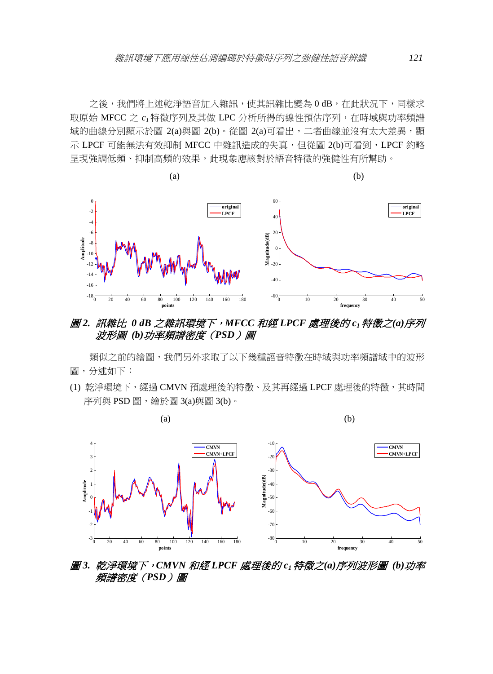之後,我們將上述乾淨語音加入雜訊,使其訊雜比變為 0 dB, 在此狀況下,同樣求 取原始 MFCC 之 *c1* 特徵序列及其做 LPC 分析所得的線性預估序列,在時域與功率頻譜 域的曲線分別顯示於圖 2(a)與圖 2(b)。從圖 2(a)可看出,二者曲線並沒有太大差異,顯 示 LPCF 可能無法有效抑制 MFCC 中雜訊造成的失真,但從圖 2(b)可看到, LPCF 約略 呈現強調低頻、抑制高頻的效果,此現象應該對於語音特徵的強健性有所幫助。



## 圖 *2.* 訊雜比 *0 dB* 之雜訊環境下,*MFCC* 和經 *LPCF* 處理後的 *c1* 特徵之*(a)*序列 波形圖 *(b)*功率頻譜密度(*PSD*)圖

類似之前的繪圖,我們另外求取了以下幾種語音特徵在時域與功率頻譜域中的波形 圖,分述如下:

(1) 乾淨環境下,經過 CMVN 預處理後的特徵、及其再經過 LPCF 處理後的特徵,其時間 序列與 PSD 圖,繪於圖 3(a)與圖 3(b)。



圖 *3.* 乾淨環境下,*CMVN* 和經 *LPCF* 處理後的 *c1* 特徵之*(a)*序列波形圖 *(b)*功率 頻譜密度(*PSD*)圖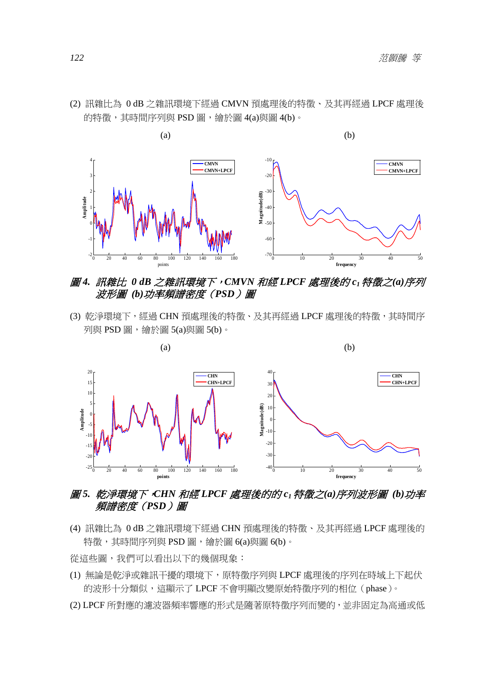

(2) 訊雜比為 0 dB 之雜訊環境下經過 CMVN 預處理後的特徵、及其再經過 LPCF 處理後 的特徵,其時間序列與 PSD 圖,繪於圖 4(a)與圖 4(b)。

## 圖 *4.* 訊雜比 *0 dB* 之雜訊環境下,*CMVN* 和經 *LPCF* 處理後的 *c1* 特徵之*(a)*序列 波形圖 *(b)*功率頻譜密度(*PSD*)圖

(3) 乾淨環境下,經過 CHN 預處理後的特徵、及其再經過 LPCF 處理後的特徵,其時間序 列與 PSD 圖,繪於圖 5(a)與圖 5(b)。



## 圖 *5.* 乾淨環境下,*CHN* 和經 *LPCF* 處理後的的 *c1* 特徵之*(a)*序列波形圖 *(b)*功率 頻譜密度(*PSD*)圖

(4) 訊雜比為 0 dB 之雜訊環境下經過 CHN 預處理後的特徵、及其再經過 LPCF 處理後的 特徵,其時間序列與 PSD 圖,繪於圖 6(a)與圖 6(b)。

從這些圖,我們可以看出以下的幾個現象:

- (1) 無論是乾淨或雜訊干擾的環境下,原特徵序列與 LPCF 處理後的序列在時域上下起伏 的波形十分類似,這顯示了 LPCF 不會明顯改變原始特徵序列的相位(phase)。
- (2) LPCF 所對應的濾波器頻率響應的形式是隨著原特徵序列而變的,並非固定為高通或低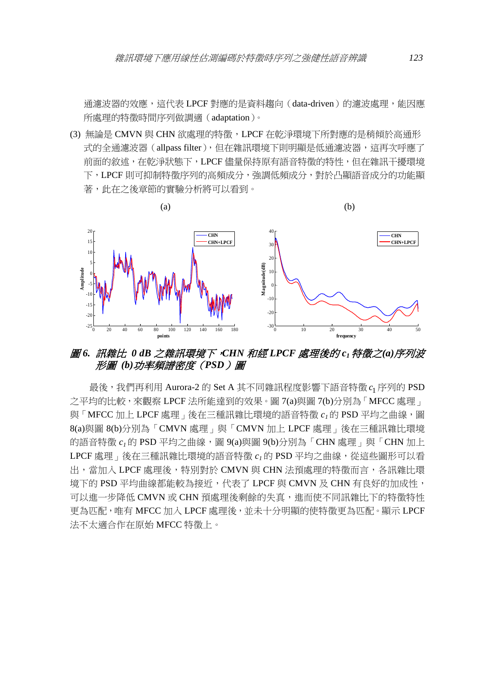通濾波器的效應,這代表 LPCF 對應的是資料趨向 (data-driven) 的濾波處理,能因應 所處理的特徵時間序列做調適(adaptation)。

(3) 無論是 CMVN 與 CHN 欲處理的特徵,LPCF 在乾淨環境下所對應的是稍傾於高通形 式的全通濾波器(allpass filter),但在雜訊環境下則明顯是低通濾波器,這再次呼應了 前面的敘述,在乾淨狀態下,LPCF 儘量保持原有語音特徵的特性,但在雜訊干擾環境 下,LPCF 則可抑制特徵序列的高頻成分,強調低頻成分,對於凸顯語音成分的功能顯 著,此在之後章節的實驗分析將可以看到。



## 圖 *6.* 訊雜比 *0 dB* 之雜訊環境下,*CHN* 和經 *LPCF* 處理後的 *c1* 特徵之*(a)*序列波 形圖 *(b)*功率頻譜密度(*PSD*)圖

最後,我們再利用 Aurora-2 的 Set A 其不同雜訊程度影響下語音特徵 c1 序列的 PSD 之平均的比較,來觀察 LPCF 法所能達到的效果。圖 7(a)與圖 7(b)分別為「MFCC 處理」 與「MFCC 加上 LPCF 處理」後在三種訊雜比環境的語音特徵  $c_1$ 的 PSD 平均之曲線,圖 8(a)與圖 8(b)分別為「CMVN 處理」與「CMVN 加上 LPCF 處理」後在三種訊雜比環境 的語音特徵  $c_1$ 的 PSD 平均之曲線,圖 9(a)與圖 9(b)分別為「CHN 處理」與「CHN 加上 LPCF 處理,後在三種訊雜比環境的語音特徵  $c_1$ 的 PSD 平均之曲線,從這些圖形可以看 出,當加入 LPCF 處理後,特別對於 CMVN 與 CHN 法預處理的特徵而言,各訊雜比環 境下的 PSD 平均曲線都能較為接近,代表了 LPCF 與 CMVN 及 CHN 有良好的加成性, 可以推一步降低 CMVN 或 CHN 預處理後剩餘的失真,進而使不同訊雜比下的特徵特性 更為匹配,唯有 MFCC 加入 LPCF 處理後,並未十分明顯的使特徵更為匹配。顯示 LPCF 法不太適合作在原始 MFCC 特徵上。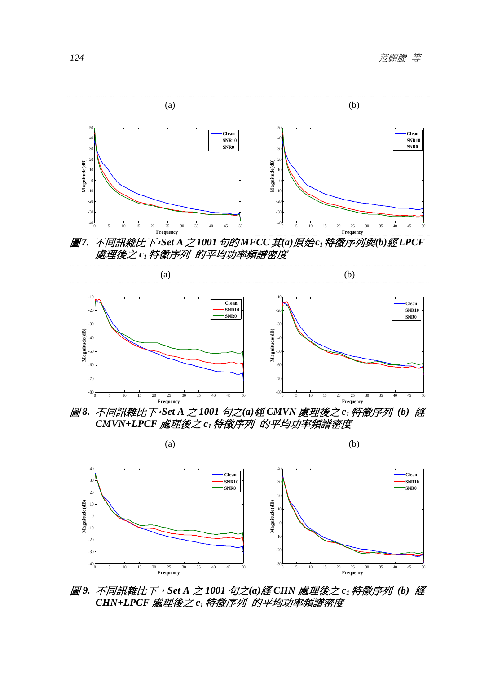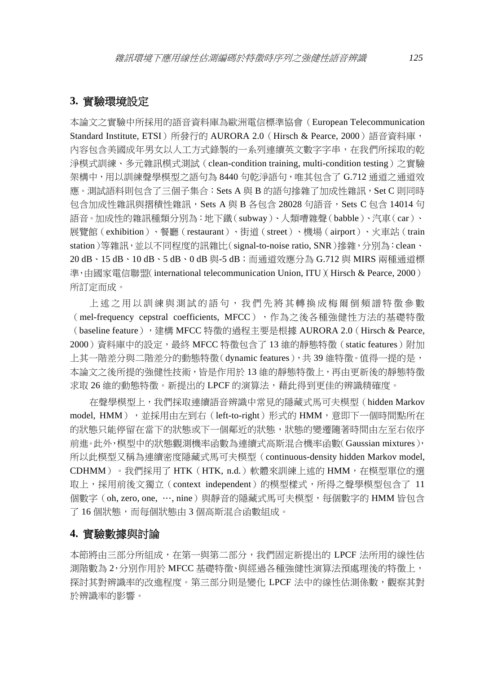## **3.** 實驗環境設定

本論文之實驗中所採用的語音資料庫為歐洲電信標準協會(European Telecommunication Standard Institute, ETSI)所發行的 AURORA 2.0 (Hirsch & Pearce, 2000)語音資料庫, 內容包含美國成年男女以人工方式錄製的一系列連續英文數字字串,在我們所採取的乾 淨模式訓練、多元雜訊模式測試(clean-condition training, multi-condition testing)之實驗 架構中,用以訓練聲學模型之語句為 8440 句乾淨語句,唯其包含了 G.712 通道之通道效 應。測試語料則包含了三個子集合:Sets A 與 B 的語句摻雜了加成性雜訊,Set C 則同時 包含加成性雜訊與摺積性雜訊,Sets A 與 B 各包含 28028 句語音,Sets C 包含 14014 句 語音。加成性的雜訊種類分別為:地下鐵(subway)、人類嘈雜聲(babble)、汽車(car)、 展覽館(exhibition)、餐廳(restaurant)、街道(street)、機場(airport)、火車站(train station)等雜訊,並以不同程度的訊雜比(signal-to-noise ratio, SNR)摻雜,分別為:clean、 20 dB、15 dB、10 dB、5 dB、0 dB 與-5 dB;而通道效應分為 G.712 與 MIRS 兩種通道標 準,由國家電信聯盟(international telecommunication Union, ITU)(Hirsch & Pearce, 2000) 所訂定而成。

上述之用以訓練與測試的語句,我們先將其轉換成梅爾倒頻譜特徵參數 (mel-frequency cepstral coefficients, MFCC), 作為之後各種強健性方法的基礎特徵 (baseline feature), 連構 MFCC 特徵的過程主要是根據 AURORA 2.0 (Hirsch & Pearce, 2000)資料庫中的設定,最終 MFCC 特徵包含了 13 維的靜態特徵(static features)附加 上其一階差分與二階差分的動態特徵(dynamic features), 共 39 維特徵。值得一提的是, 本論文之後所提的強健性技術,皆是作用於 13 維的靜態特徵上,再由更新後的靜態特徵 求取 26 維的動態特徵。新提出的 LPCF 的演算法,藉此得到更佳的辨識精確度。

在聲學模型上,我們採取連續語音辨識中常見的隱藏式馬可夫模型(hidden Markov model, HMM), 並採用由左到右 (left-to-right) 形式的 HMM,意即下一個時間點所在 的狀態只能停留在當下的狀態或下一個鄰近的狀態,狀態的變遷隨著時間由左至右依序 前進。此外,模型中的狀態觀測機率函數為連續式高斯混合機率函數(Gaussian mixtures), 所以此模型又稱為連續密度隱藏式馬可夫模型(continuous-density hidden Markov model, CDHMM)。我們採用了 HTK (HTK, n.d.)軟體來訓練上述的 HMM, 在模型單位的選 取上,採用前後文獨立(context independent)的模型樣式,所得之聲學模型包含了 11 個數字(oh, zero, one, …, nine)與靜音的隱藏式馬可夫模型,每個數字的 HMM 皆包含 了 16 個狀態,而每個狀態由 3 個高斯混合函數組成。

#### **4.** 實驗數據與討論

本節將由三部分所組成,在第一與第二部分,我們固定新提出的 LPCF 法所用的線性估 測階數為 2,分別作用於 MFCC 基礎特徵、與經過各種強健性演算法預處理後的特徵上, 探討其對辨識率的改進程度。第三部分則是變化 LPCF 法中的線性估測係數,觀察其對 於辨識率的影響。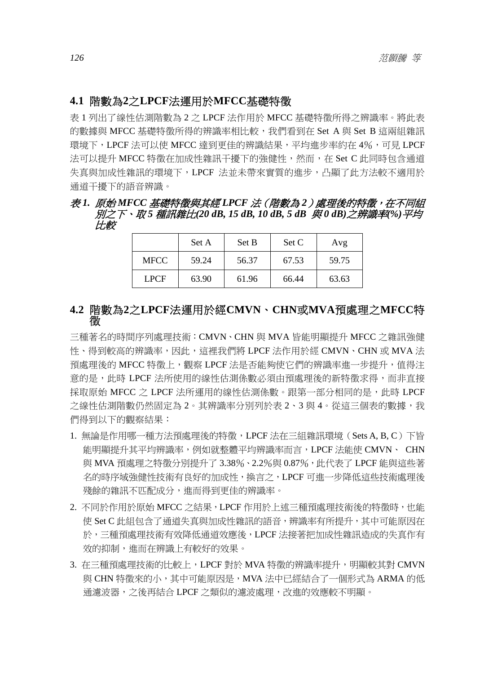## **4.1** 階數為**2**之**LPCF**法運用於**MFCC**基礎特徵

表 1 列出了線性估測階數為 2 之 LPCF 法作用於 MFCC 基礎特徵所得之辨識率。將此表 的數據與 MFCC 基礎特徵所得的辨識率相比較, 我們看到在 Set A 與 Set B 這兩組雜訊 環境下,LPCF 法可以使 MFCC 達到更佳的辨識結果,平均進步率約在 4%,可見 LPCF 法可以提升 MFCC 特徵在加成性雜訊干擾下的強健性,然而,在 Set C 此同時包含通道 失真與加成性雜訊的環境下,LPCF 法並未帶來實質的進步,凸顯了此方法較不適用於 通道干擾下的語音辨識。

#### 表 *1.* 原始 *MFCC* 基礎特徵與其經 *LPCF* 法(階數為 *2*)處理後的特徵,在不同組 別之下、取 *5* 種訊雜比*(20 dB, 15 dB, 10 dB, 5 dB* 與 *0 dB)*之辨識率*(%)*平均 比較

|             | Set A | Set B | Set C | Avg   |
|-------------|-------|-------|-------|-------|
| <b>MFCC</b> | 59.24 | 56.37 | 67.53 | 59.75 |
| <b>LPCF</b> | 63.90 | 61.96 | 66.44 | 63.63 |

## **4.2** 階數為**2**之**LPCF**法運用於經**CMVN**、**CHN**或**MVA**預處理之**MFCC**特 徵

三種著名的時間序列處理技術:CMVN、CHN 與 MVA 皆能明顯提升 MFCC 之雜訊強健 性、得到較高的辨識率,因此,這裡我們將 LPCF 法作用於經 CMVN、CHN 或 MVA 法 預處理後的 MFCC 特徵上,觀察 LPCF 法是否能夠使它們的辨識率進一步提升,值得注 意的是,此時 LPCF 法所使用的線性估測係數必須由預處理後的新特徵求得,而非直接 採取原始 MFCC 之 LPCF 法所運用的線性估測係數。跟第一部分相同的是,此時 LPCF 之線性估測階數仍然固定為 2。其辨識率分別列於表 2、3 與 4。從這三個表的數據,我 們得到以下的觀察結果:

- 1. 無論是作用哪一種方法預處理後的特徵,LPCF 法在三組雜訊環境(Sets A, B, C)下皆 能明顯提升其平均辨識率,例如就整體平均辨識率而言,LPCF 法能使 CMVN、 CHN 與 MVA 預處理之特徵分別提升了 3.38%、2.2%與 0.87%,此代表了 LPCF 能與這些著 名的時序域強健性技術有良好的加成性,換言之,LPCF 可進一步降低這些技術處理後 殘餘的雜訊不匹配成分,進而得到更佳的辨識率。
- 2. 不同於作用於原始 MFCC 之結果, LPCF 作用於上述三種預處理技術後的特徵時, 也能 使 Set C 此組包含了通道失真與加成性雜訊的語音,辨識率有所提升,其中可能原因在 於,三種預處理技術有效降低通道效應後,LPCF 法接著把加成性雜訊造成的失真作有 效的抑制,進而在辨識上有較好的效果。
- 3. 在三種預處理技術的比較上,LPCF 對於 MVA 特徵的辨識率提升,明顯較其對 CMVN 與 CHN 特徵來的小,其中可能原因是,MVA 法中已經結合了一個形式為 ARMA 的低 通濾波器,之後再結合 LPCF 之類似的濾波處理,改進的效應較不明顯。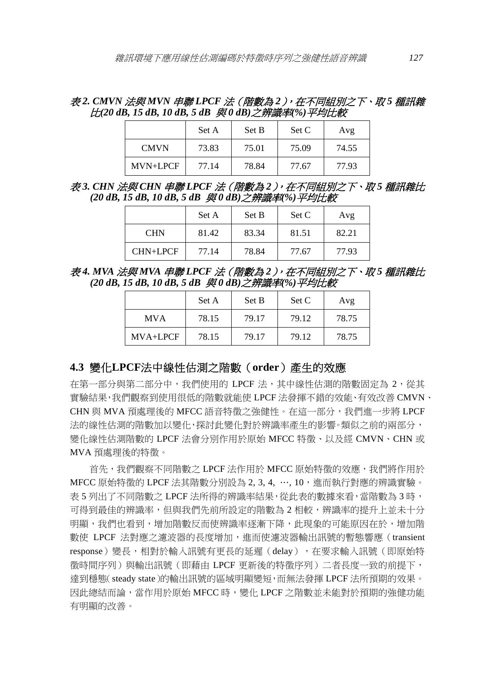表 *2. CMVN* 法與 *MVN* 串聯 *LPCF* 法(階數為 *2*),在不同組別之下、取 *5* 種訊雜 比*(20 dB, 15 dB, 10 dB, 5 dB* 與 *0 dB)*之辨識率*(%)*平均比較

|             | Set A | Set B | Set C | Avg   |
|-------------|-------|-------|-------|-------|
| <b>CMVN</b> | 73.83 | 75.01 | 75.09 | 74.55 |
| MVN+LPCF    | 77.14 | 78.84 | 77.67 | 77.93 |

表 *3. CHN* 法與 *CHN* 串聯 *LPCF* 法(階數為 *2*),在不同組別之下、取 *5* 種訊雜比 *(20 dB, 15 dB, 10 dB, 5 dB* 與 *0 dB)*之辨識率*(%)*平均比較

|                 | Set A | Set B | Set C | Avg   |
|-----------------|-------|-------|-------|-------|
| <b>CHN</b>      | 81.42 | 83.34 | 81.51 | 82.21 |
| <b>CHN+LPCF</b> | 77.14 | 78.84 | 77.67 | 77.93 |

表 *4. MVA* 法與 *MVA* 串聯 *LPCF* 法(階數為 *2*),在不同組別之下、取 *5* 種訊雜比 *(20 dB, 15 dB, 10 dB, 5 dB* 與 *0 dB)*之辨識率*(%)*平均比較

|            | Set A | Set B | Set C | Avg   |
|------------|-------|-------|-------|-------|
| <b>MVA</b> | 78.15 | 79.17 | 79.12 | 78.75 |
| $MVA+LPCF$ | 78.15 | 79.17 | 79.12 | 78.75 |

#### **4.3** 變化**LPCF**法中線性估測之階數(**order**)產生的效應

在第一部分與第二部分中,我們使用的 LPCF 法,其中線性估測的階數固定為 2,從其 實驗結果,我們觀察到使用很低的階數就能使 LPCF 法發揮不錯的效能、有效改善 CMVN、 CHN 與 MVA 預處理後的 MFCC 語音特徵之強健性。在這一部分,我們進一步將 LPCF 法的線性估測的階數加以變化,探討此變化對於辨識率產生的影響。類似之前的兩部分, 變化線性估測階數的 LPCF 法會分別作用於原始 MFCC 特徵、以及經 CMVN、CHN 或 MVA 預處理後的特徵。

首先,我們觀察不同階數之 LPCF 法作用於 MFCC 原始特徵的效應,我們將作用於 MFCC 原始特徵的 LPCF 法其階數分別設為  $2, 3, 4, \dots, 10$ , 進而執行對應的辨識實驗。 表 5 列出了不同階數之 LPCF 法所得的辨識率結果,從此表的數據來看,當階數為 3 時, 可得到最佳的辨識率,但與我們先前所設定的階數為 2 相較,辨識率的提升上並未十分 明顯,我們也看到,增加階數反而使辨識率逐漸下降,此現象的可能原因在於,增加階 數使 LPCF 法對應之濾波器的長度增加,進而使濾波器輸出訊號的暫態響應(transient response)變長,相對於輸入訊號有更長的延遲(delay),在要求輸入訊號(即原始特 徵時間序列)與輸出訊號(即藉由 LPCF 更新後的特徵序列)二者長度一致的前提下, 達到穩態(steady state)的輸出訊號的區域明顯變短,而無法發揮 LPCF 法所預期的效果。 因此總結而論,當作用於原始 MFCC 時,變化 LPCF 之階數並未能對於預期的強健功能 有明顯的改善。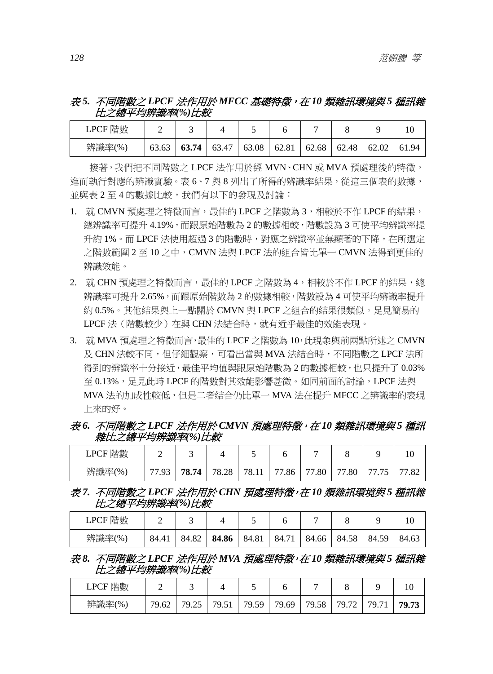## 表 *5.* 不同階數之 *LPCF* 法作用於 *MFCC* 基礎特徵,在 *10* 類雜訊環境與 *5* 種訊雜 比之總平均辨識率*(%)*比較

| LPCF 階數 |       |       |       |       |       |       |       |       |       |
|---------|-------|-------|-------|-------|-------|-------|-------|-------|-------|
| 辨識率(%)  | 63.63 | 63.74 | 63.47 | 63.08 | 62.81 | 62.68 | 62.48 | 62.02 | 61.94 |

接著,我們把不同階數之 LPCF 法作用於經 MVN、CHN 或 MVA 預處理後的特徵, 進而執行對應的辨識實驗。表 6、7 與 8 列出了所得的辨識率結果,從這三個表的數據, 並與表 2 至 4 的數據比較,我們有以下的發現及討論:

- 1. 就 CMVN 預處理之特徵而言,最佳的 LPCF 之階數為 3,相較於不作 LPCF 的結果, 總辨識率可提升 4.19%,而跟原始階數為 2 的數據相較,階數設為 3 可使平均辨識率提 升約 1%。而 LPCF 法使用超過 3 的階數時,對應之辨識率並無顯著的下降,在所選定 之階數範圍 2 至 10 之中,CMVN 法與 LPCF 法的組合皆比單一 CMVN 法得到更佳的 辨識效能。
- 2. 就 CHN 預處理之特徵而言,最佳的 LPCF 之階數為 4,相較於不作 LPCF 的結果,總 辨識率可提升 2.65%,而跟原始階數為 2 的數據相較,階數設為 4 可使平均辨識率提升 約 0.5%。其他結果與上一點關於 CMVN 與 LPCF 之組合的結果很類似。足見簡易的 LPCF 法 (階數較少) 在與 CHN 法結合時, 就有近乎最佳的效能表現。
- 3. 就 MVA 預處理之特徵而言,最佳的 LPCF 之階數為 10,此現象與前兩點所述之 CMVN 及 CHN 法較不同,但仔細觀察,可看出當與 MVA 法結合時,不同階數之 LPCF 法所 得到的辨識率十分接近,最佳平均值與跟原始階數為 2 的數據相較,也只提升了 0.03% 至 0.13%,足見此時 LPCF 的階數對其效能影響甚微。如同前面的討論,LPCF 法與 MVA 法的加成性較低,但是二者結合仍比單一 MVA 法在提升 MFCC 之辨識率的表現 上來的好。

## 表 *6.* 不同階數之 *LPCF* 法作用於 *CMVN* 預處理特徵,在 *10* 類雜訊環境與 *5* 種訊 雜比之總平均辨識率*(%)*比較

| 階數<br><b>LPCF</b> |                                 |       |                |                   |                                 |           |                                 |                                      |                      |
|-------------------|---------------------------------|-------|----------------|-------------------|---------------------------------|-----------|---------------------------------|--------------------------------------|----------------------|
| 辨識率(%)            | $\overline{\phantom{a}}$<br>ر . | 78.74 | 8.28<br>$70 -$ | 78.1 <sub>1</sub> | $\overline{\phantom{a}}$<br>.86 | .80<br>77 | .80<br>$\overline{\phantom{a}}$ | 75<br>--<br>$\overline{\phantom{a}}$ | $\mathbf{O}'$<br>2ه. |

表 *7.* 不同階數之 *LPCF* 法作用於 *CHN* 預處理特徵,在 *10* 類雜訊環境與 *5* 種訊雜 比之總平均辨識率*(%)*比較

| 階數<br>LPCF |          |       |       |       |            |       |       |            |       |
|------------|----------|-------|-------|-------|------------|-------|-------|------------|-------|
| 辨識率(%)     | 84.<br>∸ | 84.82 | 84.86 | 84.81 | 71<br>-84. | 84.66 | 84.58 | 59<br>84.5 | 84.63 |

#### 表 *8.* 不同階數之 *LPCF* 法作用於 *MVA* 預處理特徵,在 *10* 類雜訊環境與 *5* 種訊雜 比之總平均辨識率*(%)*比較

| 階數<br>LPCF |       |               |                                   |       |       |            |                    |          |       |
|------------|-------|---------------|-----------------------------------|-------|-------|------------|--------------------|----------|-------|
| 辨識率(%)     | 79.62 | つぐ<br>70<br>ت | 70.51<br>$\overline{\phantom{a}}$ | 79.59 | 79.69 | 58.<br>79. | $\mathbf{a}$<br>70 | 71<br>70 | 70 73 |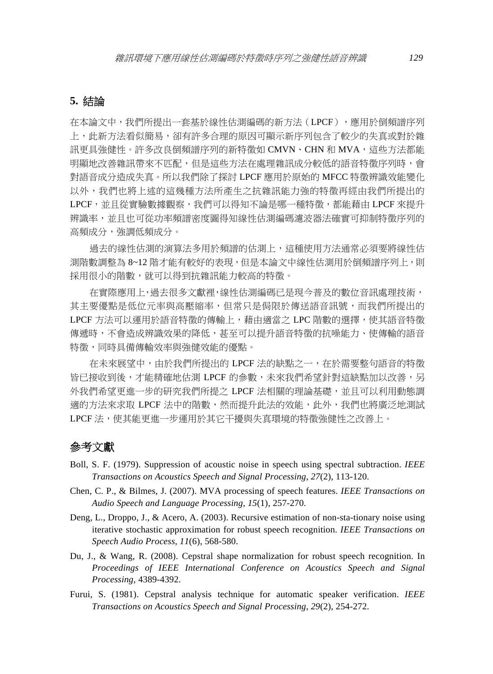## **5.** 結論

在本論文中,我們所提出一套基於線性估測編碼的新方法(LPCF),應用於倒頻譜序列 上,此新方法看似簡易,卻有許多合理的原因可顯示新序列包含了較少的失真或對於雜 訊更具強健性。許多改良倒頻譜序列的新特徵如 CMVN、CHN 和 MVA,這些方法都能 明顯地改善雜訊帶來不匹配,但是這些方法在處理雜訊成分較低的語音特徵序列時,會 對語音成分造成失真。所以我們除了探討 LPCF 應用於原始的 MFCC 特徵辨識效能變化 以外,我們也將上述的這幾種方法所產生之抗雜訊能力強的特徵再經由我們所提出的 LPCF,並且從實驗數據觀察,我們可以得知不論是哪一種特徵,都能藉由 LPCF 來提升 辨識率,並且也可從功率頻譜密度圖得知線性估測編碼濾波器法確實可抑制特徵序列的 高頻成分,強調低頻成分。

過去的線性估測的演算法多用於頻譜的估測上,這種使用方法通常必須要將線性估 測階數調整為 8~12 階才能有較好的表現,但是本論文中線性估測用於倒頻譜序列上,則 採用很小的階數,就可以得到抗雜訊能力較高的特徵。

在實際應用上,過去很多文獻裡,線性估測編碼已是現今普及的數位音訊處理技術, 其主要優點是低位元率與高壓縮率,但常只是侷限於傳送語音訊號,而我們所提出的 LPCF 方法可以運用於語音特徵的傳輸上,藉由適當之 LPC 階數的選擇,使其語音特徵 傳遞時,不會造成辨識效果的降低,甚至可以提升語音特徵的抗噪能力、使傳輸的語音 特徵,同時具備傳輸效率與強健效能的優點。

在未來展望中,由於我們所提出的 LPCF 法的缺點之一,在於需要整句語音的特徵 皆已接收到後,才能精確地估測 LPCF 的參數,未來我們希望針對這缺點加以改善,另 外我們希望更進一步的研究我們所提之 LPCF 法相關的理論基礎,並且可以利用動態調 適的方法來求取 LPCF 法中的階數,然而提升此法的效能,此外,我們也將廣泛地測試 LPCF 法,使其能更進一步運用於其它干擾與失真環境的特徵強健性之改善上。

## 參考文獻

- Boll, S. F. (1979). Suppression of acoustic noise in speech using spectral subtraction. *IEEE Transactions on Acoustics Speech and Signal Processing*, *27*(2), 113-120.
- Chen, C. P., & Bilmes, J. (2007). MVA processing of speech features. *IEEE Transactions on Audio Speech and Language Processing*, *15*(1), 257-270.
- Deng, L., Droppo, J., & Acero, A. (2003). Recursive estimation of non-sta-tionary noise using iterative stochastic approximation for robust speech recognition. *IEEE Transactions on Speech Audio Process*, *11*(6), 568-580.
- Du, J., & Wang, R. (2008). Cepstral shape normalization for robust speech recognition. In *Proceedings of IEEE International Conference on Acoustics Speech and Signal Processing*, 4389-4392.
- Furui, S. (1981). Cepstral analysis technique for automatic speaker verification. *IEEE Transactions on Acoustics Speech and Signal Processing*, *29*(2), 254-272.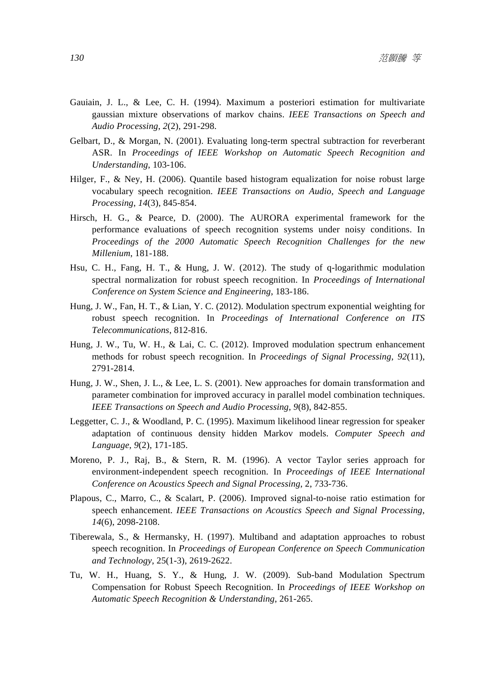- Gauiain, J. L., & Lee, C. H. (1994). Maximum a posteriori estimation for multivariate gaussian mixture observations of markov chains. *IEEE Transactions on Speech and Audio Processing*, *2*(2), 291-298.
- Gelbart, D., & Morgan, N. (2001). Evaluating long-term spectral subtraction for reverberant ASR. In *Proceedings of IEEE Workshop on Automatic Speech Recognition and Understanding*, 103-106.
- Hilger, F., & Ney, H. (2006). Quantile based histogram equalization for noise robust large vocabulary speech recognition. *IEEE Transactions on Audio, Speech and Language Processing*, *14*(3), 845-854.
- Hirsch, H. G., & Pearce, D. (2000). The AURORA experimental framework for the performance evaluations of speech recognition systems under noisy conditions. In *Proceedings of the 2000 Automatic Speech Recognition Challenges for the new Millenium*, 181-188.
- Hsu, C. H., Fang, H. T., & Hung, J. W. (2012). The study of q-logarithmic modulation spectral normalization for robust speech recognition. In *Proceedings of International Conference on System Science and Engineering*, 183-186.
- Hung, J. W., Fan, H. T., & Lian, Y. C. (2012). Modulation spectrum exponential weighting for robust speech recognition. In *Proceedings of International Conference on ITS Telecommunications*, 812-816.
- Hung, J. W., Tu, W. H., & Lai, C. C. (2012). Improved modulation spectrum enhancement methods for robust speech recognition. In *Proceedings of Signal Processing*, *92*(11), 2791-2814.
- Hung, J. W., Shen, J. L., & Lee, L. S. (2001). New approaches for domain transformation and parameter combination for improved accuracy in parallel model combination techniques. *IEEE Transactions on Speech and Audio Processing*, *9*(8), 842-855.
- Leggetter, C. J., & Woodland, P. C. (1995). Maximum likelihood linear regression for speaker adaptation of continuous density hidden Markov models. *Computer Speech and Language*, *9*(2), 171-185.
- Moreno, P. J., Raj, B., & Stern, R. M. (1996). A vector Taylor series approach for environment-independent speech recognition. In *Proceedings of IEEE International Conference on Acoustics Speech and Signal Processing*, 2, 733-736.
- Plapous, C., Marro, C., & Scalart, P. (2006). Improved signal-to-noise ratio estimation for speech enhancement. *IEEE Transactions on Acoustics Speech and Signal Processing*, *14*(6), 2098-2108.
- Tiberewala, S., & Hermansky, H. (1997). Multiband and adaptation approaches to robust speech recognition. In *Proceedings of European Conference on Speech Communication and Technology*, 25(1-3), 2619-2622.
- Tu, W. H., Huang, S. Y., & Hung, J. W. (2009). Sub-band Modulation Spectrum Compensation for Robust Speech Recognition. In *Proceedings of IEEE Workshop on Automatic Speech Recognition & Understanding*, 261-265.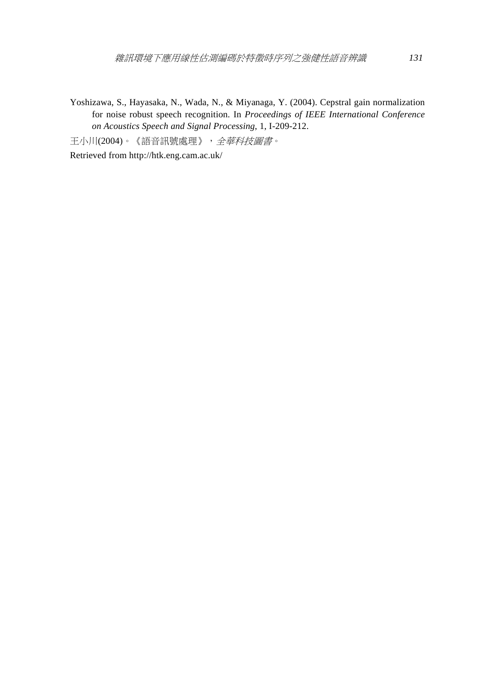Yoshizawa, S., Hayasaka, N., Wada, N., & Miyanaga, Y. (2004). Cepstral gain normalization for noise robust speech recognition. In *Proceedings of IEEE International Conference on Acoustics Speech and Signal Processing*, 1, I-209-212.

王小川(2004)。《語音訊號處理》,全華科技圖書。

Retrieved from http://htk.eng.cam.ac.uk/